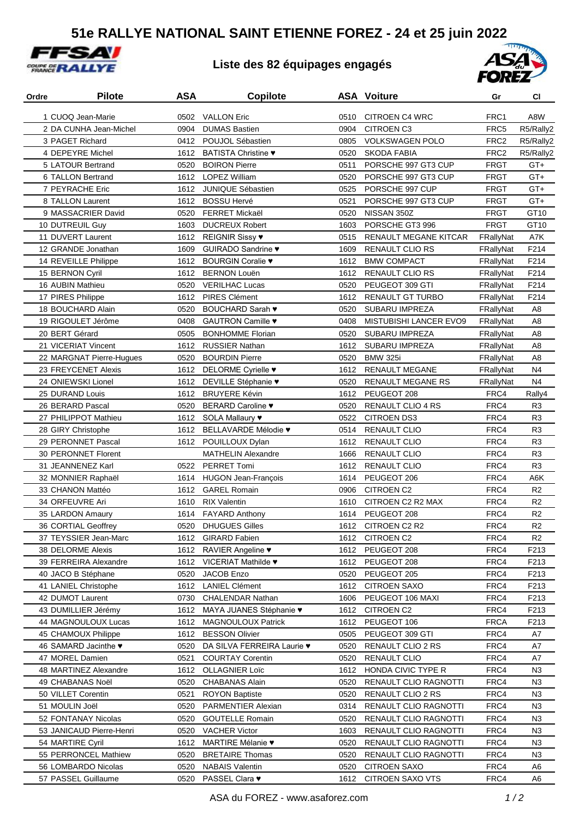## **51e RALLYE NATIONAL SAINT ETIENNE FOREZ - 24 et 25 juin 2022**



## **Liste des 82 équipages engagés**



| Ordre | <b>Pilote</b>                         | ASA  | <b>Copilote</b>                      |      | <b>ASA Voiture</b>                      | Gr               | <b>CI</b>        |
|-------|---------------------------------------|------|--------------------------------------|------|-----------------------------------------|------------------|------------------|
|       | 1 CUOQ Jean-Marie                     | 0502 | <b>VALLON Eric</b>                   | 0510 | <b>CITROEN C4 WRC</b>                   | FRC1             | A8W              |
|       | 2 DA CUNHA Jean-Michel                | 0904 | <b>DUMAS Bastien</b>                 | 0904 | <b>CITROEN C3</b>                       | FRC5             | R5/Rally2        |
|       | 3 PAGET Richard                       | 0412 | POUJOL Sébastien                     | 0805 | <b>VOLKSWAGEN POLO</b>                  | FRC <sub>2</sub> | R5/Rally2        |
|       | 4 DEPEYRE Michel                      | 1612 | <b>BATISTA Christine ♥</b>           | 0520 | <b>SKODA FABIA</b>                      | FRC <sub>2</sub> | R5/Rally2        |
|       | 5 LATOUR Bertrand                     | 0520 | <b>BOIRON Pierre</b>                 | 0511 | PORSCHE 997 GT3 CUP                     | FRGT             | $GT +$           |
|       | 6 TALLON Bertrand                     | 1612 | <b>LOPEZ William</b>                 | 0520 | PORSCHE 997 GT3 CUP                     | <b>FRGT</b>      | $GT +$           |
|       | 7 PEYRACHE Eric                       | 1612 | <b>JUNIQUE Sébastien</b>             | 0525 | PORSCHE 997 CUP                         | <b>FRGT</b>      | $GT+$            |
|       | 8 TALLON Laurent                      | 1612 | <b>BOSSU Hervé</b>                   | 0521 | PORSCHE 997 GT3 CUP                     | <b>FRGT</b>      | $GT+$            |
|       | 9 MASSACRIER David                    | 0520 | <b>FERRET Mickaël</b>                | 0520 | NISSAN 350Z                             | <b>FRGT</b>      | GT10             |
|       | 10 DUTREUIL Guy                       | 1603 | <b>DUCREUX Robert</b>                | 1603 | PORSCHE GT3 996                         | <b>FRGT</b>      | GT <sub>10</sub> |
|       | 11 DUVERT Laurent                     | 1612 | <b>REIGNIR Sissy ♥</b>               | 0515 | RENAULT MEGANE KITCAR                   | FRallyNat        | A7K              |
|       | 12 GRANDE Jonathan                    | 1609 | GUIRADO Sandrine ♥                   | 1609 | <b>RENAULT CLIO RS</b>                  | FRallyNat        | F214             |
|       | 14 REVEILLE Philippe                  | 1612 | BOURGIN Coralie $\blacktriangledown$ | 1612 | <b>BMW COMPACT</b>                      | FRallyNat        | F214             |
|       | 15 BERNON Cyril                       | 1612 | <b>BERNON Louën</b>                  | 1612 | RENAULT CLIO RS                         | FRallyNat        | F214             |
|       | 16 AUBIN Mathieu                      | 0520 | <b>VERILHAC Lucas</b>                | 0520 | PEUGEOT 309 GTI                         | FRallyNat        | F214             |
|       | 17 PIRES Philippe                     | 1612 | <b>PIRES Clément</b>                 | 1612 | RENAULT GT TURBO                        | FRallyNat        | F214             |
|       | 18 BOUCHARD Alain                     | 0520 | <b>BOUCHARD Sarah ♥</b>              | 0520 | <b>SUBARU IMPREZA</b>                   | FRallyNat        | A <sub>8</sub>   |
|       | 19 RIGOULET Jérôme                    | 0408 | GAUTRON Camille ♥                    | 0408 | <b>MISTUBISHI LANCER EVO9</b>           |                  | A8               |
|       |                                       |      |                                      |      |                                         | FRallyNat        |                  |
|       | 20 BERT Gérard<br>21 VICERIAT Vincent | 0505 | <b>BONHOMME Florian</b>              | 0520 | <b>SUBARU IMPREZA</b><br>SUBARU IMPREZA | FRallyNat        | A8               |
|       |                                       | 1612 | <b>RUSSIER Nathan</b>                | 1612 |                                         | FRallyNat        | A8               |
|       | 22 MARGNAT Pierre-Hugues              | 0520 | <b>BOURDIN Pierre</b>                | 0520 | <b>BMW 325i</b>                         | FRallyNat        | A <sub>8</sub>   |
|       | 23 FREYCENET Alexis                   | 1612 | DELORME Cyrielle v                   | 1612 | <b>RENAULT MEGANE</b>                   | FRallyNat        | N <sub>4</sub>   |
|       | 24 ONIEWSKI Lionel                    | 1612 | DEVILLE Stéphanie ♥                  | 0520 | <b>RENAULT MEGANE RS</b>                | FRallyNat        | N4               |
|       | 25 DURAND Louis                       | 1612 | <b>BRUYERE Kévin</b>                 | 1612 | PEUGEOT 208                             | FRC4             | Rally4           |
|       | 26 BERARD Pascal                      | 0520 | BERARD Caroline .                    | 0520 | <b>RENAULT CLIO 4 RS</b>                | FRC4             | R <sub>3</sub>   |
|       | 27 PHILIPPOT Mathieu                  |      | 1612 SOLA Mallaury ♥                 | 0522 | <b>CITROEN DS3</b>                      | FRC4             | R <sub>3</sub>   |
|       | 28 GIRY Christophe                    |      | 1612 BELLAVARDE Mélodie v            | 0514 | <b>RENAULT CLIO</b>                     | FRC4             | R <sub>3</sub>   |
|       | 29 PERONNET Pascal                    |      | 1612 POUILLOUX Dylan                 | 1612 | <b>RENAULT CLIO</b>                     | FRC4             | R <sub>3</sub>   |
|       | 30 PERONNET Florent                   |      | <b>MATHELIN Alexandre</b>            | 1666 | <b>RENAULT CLIO</b>                     | FRC4             | R <sub>3</sub>   |
|       | 31 JEANNENEZ Karl                     | 0522 | <b>PERRET Tomi</b>                   | 1612 | <b>RENAULT CLIO</b>                     | FRC4             | R <sub>3</sub>   |
|       | 32 MONNIER Raphaël                    | 1614 | <b>HUGON Jean-François</b>           | 1614 | PEUGEOT 206                             | FRC4             | A6K              |
|       | 33 CHANON Mattéo                      | 1612 | <b>GAREL Romain</b>                  | 0906 | <b>CITROEN C2</b>                       | FRC4             | R <sub>2</sub>   |
|       | 34 ORFEUVRE Ari                       | 1610 | <b>RIX Valentin</b>                  | 1610 | CITROEN C2 R2 MAX                       | FRC4             | R <sub>2</sub>   |
|       | 35 LARDON Amaury                      | 1614 | <b>FAYARD Anthony</b>                | 1614 | PEUGEOT 208                             | FRC4             | R <sub>2</sub>   |
|       | 36 CORTIAL Geoffrey                   | 0520 | <b>DHUGUES Gilles</b>                |      | 1612 CITROEN C2 R2                      | FRC4             | R <sub>2</sub>   |
|       | 37 TEYSSIER Jean-Marc                 | 1612 | <b>GIRARD Fabien</b>                 | 1612 | <b>CITROEN C2</b>                       | FRC4             | R <sub>2</sub>   |
|       | 38 DELORME Alexis                     | 1612 | <b>RAVIER Angeline ♥</b>             | 1612 | PEUGEOT 208                             | FRC4             | F213             |
|       | 39 FERREIRA Alexandre                 |      | 1612 VICERIAT Mathilde .             | 1612 | PEUGEOT 208                             | FRC4             | F213             |
|       | 40 JACO B Stéphane                    | 0520 | JACOB Enzo                           | 0520 | PEUGEOT 205                             | FRC4             | F213             |
|       | 41 LANIEL Christophe                  | 1612 | <b>LANIEL Clément</b>                | 1612 | <b>CITROEN SAXO</b>                     | FRC4             | F213             |
|       | 42 DUMOT Laurent                      | 0730 | <b>CHALENDAR Nathan</b>              | 1606 | PEUGEOT 106 MAXI                        | FRC4             | F213             |
|       | 43 DUMILLIER Jérémy                   | 1612 | MAYA JUANES Stéphanie ♥              | 1612 | <b>CITROEN C2</b>                       | FRC4             | F213             |
|       | 44 MAGNOULOUX Lucas                   | 1612 | <b>MAGNOULOUX Patrick</b>            | 1612 | PEUGEOT 106                             | <b>FRCA</b>      | F213             |
|       | 45 CHAMOUX Philippe                   | 1612 | <b>BESSON Olivier</b>                | 0505 | PEUGEOT 309 GTI                         | FRC4             | A7               |
|       | 46 SAMARD Jacinthe •                  | 0520 | DA SILVA FERREIRA Laurie ♥           | 0520 | RENAULT CLIO 2 RS                       | FRC4             | A7               |
|       | 47 MOREL Damien                       | 0521 | <b>COURTAY Corentin</b>              | 0520 | <b>RENAULT CLIO</b>                     | FRC4             | A7               |
|       | 48 MARTINEZ Alexandre                 | 1612 | <b>OLLAGNIER Loïc</b>                | 1612 | HONDA CIVIC TYPE R                      | FRC4             | N <sub>3</sub>   |
|       | 49 CHABANAS Noël                      | 0520 | <b>CHABANAS Alain</b>                | 0520 | RENAULT CLIO RAGNOTTI                   | FRC4             | N <sub>3</sub>   |
|       | 50 VILLET Corentin                    | 0521 | <b>ROYON Baptiste</b>                | 0520 | RENAULT CLIO 2 RS                       | FRC4             | N <sub>3</sub>   |
|       | 51 MOULIN Joël                        | 0520 | <b>PARMENTIER Alexian</b>            | 0314 | RENAULT CLIO RAGNOTTI                   | FRC4             | N3               |
|       | 52 FONTANAY Nicolas                   | 0520 | <b>GOUTELLE Romain</b>               | 0520 | RENAULT CLIO RAGNOTTI                   | FRC4             | N3               |
|       | 53 JANICAUD Pierre-Henri              | 0520 | <b>VACHER Victor</b>                 | 1603 | RENAULT CLIO RAGNOTTI                   | FRC4             | N3               |
|       | 54 MARTIRE Cyril                      | 1612 | MARTIRE Mélanie •                    | 0520 | RENAULT CLIO RAGNOTTI                   | FRC4             | N3               |
|       | 55 PERRONCEL Mathiew                  | 0520 | <b>BRETAIRE Thomas</b>               | 0520 | RENAULT CLIO RAGNOTTI                   | FRC4             | N3               |
|       | 56 LOMBARDO Nicolas                   | 0520 | <b>NABAIS Valentin</b>               | 0520 | <b>CITROEN SAXO</b>                     | FRC4             | A <sub>6</sub>   |
|       | 57 PASSEL Guillaume                   |      | 0520 PASSEL Clara ♥                  |      | 1612 CITROEN SAXO VTS                   | FRC4             | A <sub>6</sub>   |